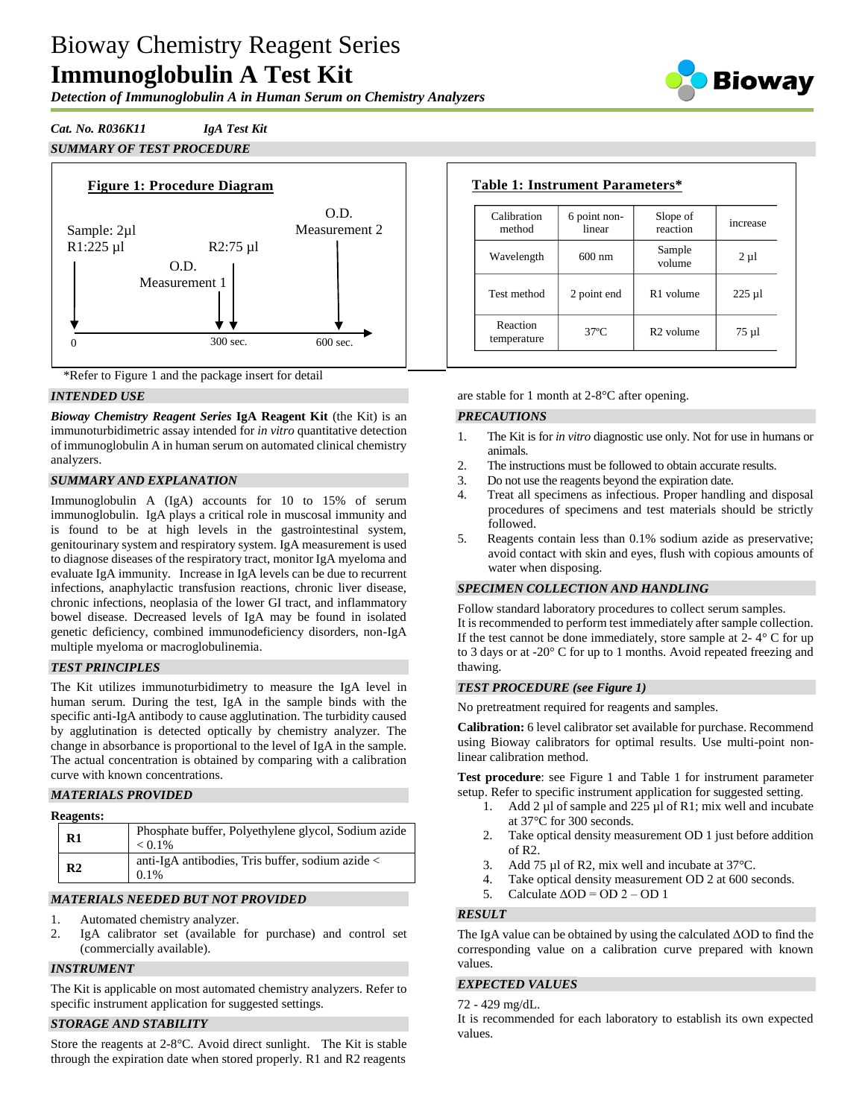# Bioway Chemistry Reagent Series **Immunoglobulin A Test Kit**

*Detection of Immunoglobulin A in Human Serum on Chemistry Analyzers*



# *Cat. No. R036K11 IgA Test Kit*





\*Refer to Figure 1 and the package insert for detail

## *INTENDED USE*

*Bioway Chemistry Reagent Series* **IgA Reagent Kit** (the Kit) is an immunoturbidimetric assay intended for *in vitro* quantitative detection of immunoglobulin A in human serum on automated clinical chemistry analyzers.

## *SUMMARY AND EXPLANATION*

Immunoglobulin A (IgA) accounts for 10 to 15% of serum immunoglobulin. IgA plays a critical role in muscosal immunity and is found to be at high levels in the gastrointestinal system, genitourinary system and respiratory system. IgA measurement is used to diagnose diseases of the respiratory tract, monitor IgA myeloma and evaluate IgA immunity. Increase in IgA levels can be due to recurrent infections, anaphylactic transfusion reactions, chronic liver disease, chronic infections, neoplasia of the lower GI tract, and inflammatory bowel disease. Decreased levels of IgA may be found in isolated genetic deficiency, combined immunodeficiency disorders, non-IgA multiple myeloma or macroglobulinemia.

#### *TEST PRINCIPLES*

The Kit utilizes immunoturbidimetry to measure the IgA level in human serum. During the test, IgA in the sample binds with the specific anti-IgA antibody to cause agglutination. The turbidity caused by agglutination is detected optically by chemistry analyzer. The change in absorbance is proportional to the level of IgA in the sample. The actual concentration is obtained by comparing with a calibration curve with known concentrations.

#### *MATERIALS PROVIDED*

#### **Reagents:**

| $\mathbf{R}1$  | Phosphate buffer, Polyethylene glycol, Sodium azide<br>$< 0.1\%$ |
|----------------|------------------------------------------------------------------|
| R <sub>2</sub> | anti-IgA antibodies, Tris buffer, sodium azide <<br>$0.1\%$      |

#### *MATERIALS NEEDED BUT NOT PROVIDED*

- 1. Automated chemistry analyzer.
- 2. IgA calibrator set (available for purchase) and control set (commercially available).

# *INSTRUMENT*

The Kit is applicable on most automated chemistry analyzers. Refer to specific instrument application for suggested settings.

# *STORAGE AND STABILITY*

Store the reagents at 2-8°C. Avoid direct sunlight. The Kit is stable through the expiration date when stored properly. R1 and R2 reagents

| Calibration<br>method   | 6 point non-<br>linear | Slope of<br>reaction  | increase  |
|-------------------------|------------------------|-----------------------|-----------|
| Wavelength              | $600 \text{ nm}$       | Sample<br>volume      | $2 \mu l$ |
| Test method             | 2 point end            | R <sub>1</sub> volume | $225 \mu$ |
| Reaction<br>temperature | $37^\circ$ C           | $R2$ volume           | $75 \mu$  |

are stable for 1 month at 2-8°C after opening.

#### *PRECAUTIONS*

- 1. The Kit is for *in vitro* diagnostic use only. Not for use in humans or animals.
- 2. The instructions must be followed to obtain accurate results.
- 3. Do not use the reagents beyond the expiration date.
- 4. Treat all specimens as infectious. Proper handling and disposal procedures of specimens and test materials should be strictly followed.
- 5. Reagents contain less than 0.1% sodium azide as preservative; avoid contact with skin and eyes, flush with copious amounts of water when disposing.

#### *SPECIMEN COLLECTION AND HANDLING*

Follow standard laboratory procedures to collect serum samples. It is recommended to perform test immediately after sample collection. If the test cannot be done immediately, store sample at  $2 - 4^\circ$  C for up to 3 days or at -20° C for up to 1 months. Avoid repeated freezing and thawing.

#### *TEST PROCEDURE (see Figure 1)*

No pretreatment required for reagents and samples.

**Calibration:** 6 level calibrator set available for purchase. Recommend using Bioway calibrators for optimal results. Use multi-point nonlinear calibration method.

**Test procedure**: see Figure 1 and Table 1 for instrument parameter setup. Refer to specific instrument application for suggested setting.

- 1. Add 2 µl of sample and 225 µl of R1; mix well and incubate at 37°C for 300 seconds.
- 2. Take optical density measurement OD 1 just before addition of  $R2$ .
- 3. Add 75 µl of R2, mix well and incubate at 37 °C.
- 4. Take optical density measurement OD 2 at 600 seconds.
- 5. Calculate  $\triangle$ OD = OD 2 OD 1

#### *RESULT*

The IgA value can be obtained by using the calculated ΔOD to find the corresponding value on a calibration curve prepared with known values.

#### *EXPECTED VALUES*

72 - 429 mg/dL.

It is recommended for each laboratory to establish its own expected values.